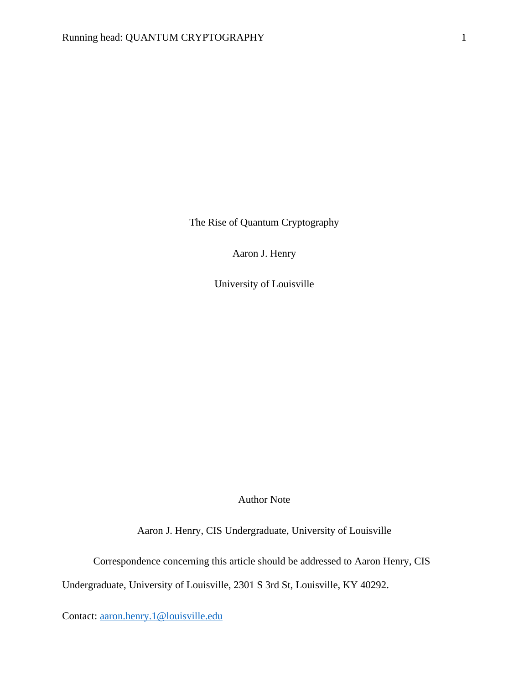The Rise of Quantum Cryptography

Aaron J. Henry

University of Louisville

Author Note

Aaron J. Henry, CIS Undergraduate, University of Louisville

Correspondence concerning this article should be addressed to Aaron Henry, CIS

Undergraduate, University of Louisville, 2301 S 3rd St, Louisville, KY 40292.

Contact: [aaron.henry.1@louisville.edu](mailto:aaron.henry.1@louisville.edu)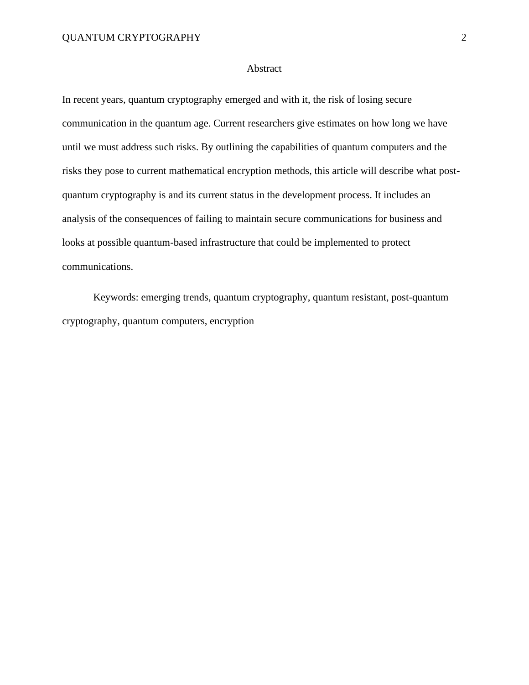## Abstract

In recent years, quantum cryptography emerged and with it, the risk of losing secure communication in the quantum age. Current researchers give estimates on how long we have until we must address such risks. By outlining the capabilities of quantum computers and the risks they pose to current mathematical encryption methods, this article will describe what postquantum cryptography is and its current status in the development process. It includes an analysis of the consequences of failing to maintain secure communications for business and looks at possible quantum-based infrastructure that could be implemented to protect communications.

Keywords: emerging trends, quantum cryptography, quantum resistant, post-quantum cryptography, quantum computers, encryption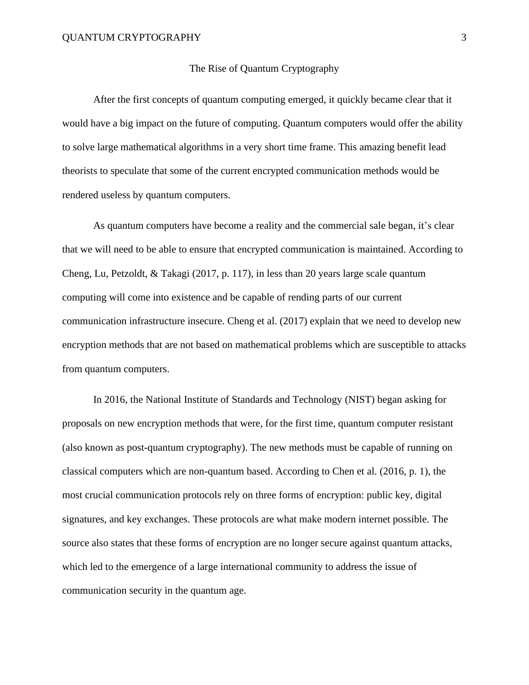## The Rise of Quantum Cryptography

After the first concepts of quantum computing emerged, it quickly became clear that it would have a big impact on the future of computing. Quantum computers would offer the ability to solve large mathematical algorithms in a very short time frame. This amazing benefit lead theorists to speculate that some of the current encrypted communication methods would be rendered useless by quantum computers.

As quantum computers have become a reality and the commercial sale began, it's clear that we will need to be able to ensure that encrypted communication is maintained. According to Cheng, Lu, Petzoldt, & Takagi (2017, p. 117), in less than 20 years large scale quantum computing will come into existence and be capable of rending parts of our current communication infrastructure insecure. Cheng et al. (2017) explain that we need to develop new encryption methods that are not based on mathematical problems which are susceptible to attacks from quantum computers.

In 2016, the National Institute of Standards and Technology (NIST) began asking for proposals on new encryption methods that were, for the first time, quantum computer resistant (also known as post-quantum cryptography). The new methods must be capable of running on classical computers which are non-quantum based. According to Chen et al. (2016, p. 1), the most crucial communication protocols rely on three forms of encryption: public key, digital signatures, and key exchanges. These protocols are what make modern internet possible. The source also states that these forms of encryption are no longer secure against quantum attacks, which led to the emergence of a large international community to address the issue of communication security in the quantum age.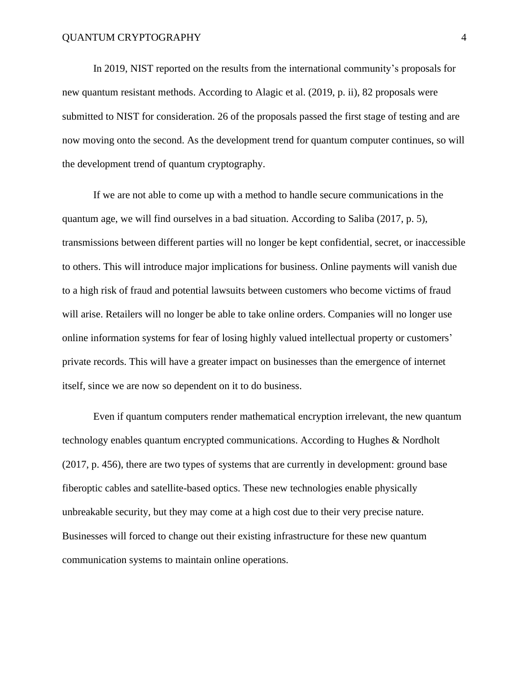In 2019, NIST reported on the results from the international community's proposals for new quantum resistant methods. According to Alagic et al. (2019, p. ii), 82 proposals were submitted to NIST for consideration. 26 of the proposals passed the first stage of testing and are now moving onto the second. As the development trend for quantum computer continues, so will the development trend of quantum cryptography.

If we are not able to come up with a method to handle secure communications in the quantum age, we will find ourselves in a bad situation. According to Saliba (2017, p. 5), transmissions between different parties will no longer be kept confidential, secret, or inaccessible to others. This will introduce major implications for business. Online payments will vanish due to a high risk of fraud and potential lawsuits between customers who become victims of fraud will arise. Retailers will no longer be able to take online orders. Companies will no longer use online information systems for fear of losing highly valued intellectual property or customers' private records. This will have a greater impact on businesses than the emergence of internet itself, since we are now so dependent on it to do business.

Even if quantum computers render mathematical encryption irrelevant, the new quantum technology enables quantum encrypted communications. According to Hughes & Nordholt (2017, p. 456), there are two types of systems that are currently in development: ground base fiberoptic cables and satellite-based optics. These new technologies enable physically unbreakable security, but they may come at a high cost due to their very precise nature. Businesses will forced to change out their existing infrastructure for these new quantum communication systems to maintain online operations.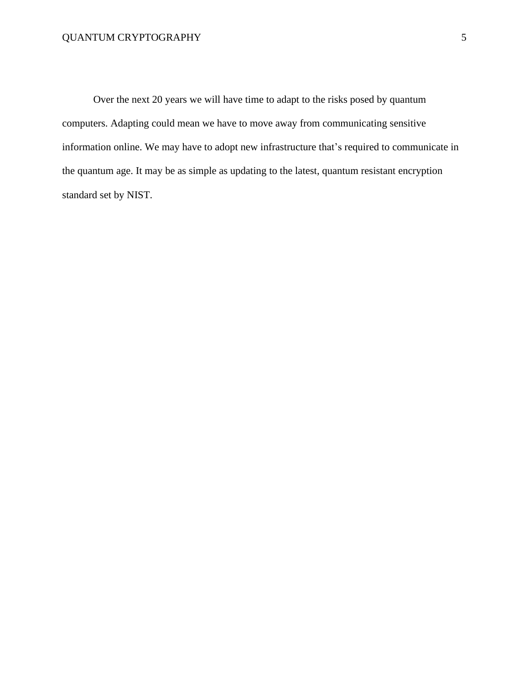Over the next 20 years we will have time to adapt to the risks posed by quantum computers. Adapting could mean we have to move away from communicating sensitive information online. We may have to adopt new infrastructure that's required to communicate in the quantum age. It may be as simple as updating to the latest, quantum resistant encryption standard set by NIST.